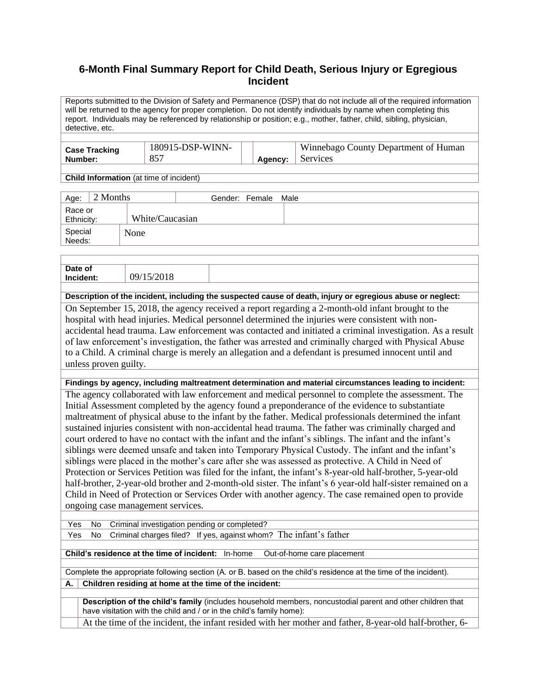# **6-Month Final Summary Report for Child Death, Serious Injury or Egregious Incident**

Reports submitted to the Division of Safety and Permanence (DSP) that do not include all of the required information will be returned to the agency for proper completion. Do not identify individuals by name when completing this report. Individuals may be referenced by relationship or position; e.g., mother, father, child, sibling, physician, detective, etc.

| <b>Case Tracking</b> | 180915-DSP-WINN- |         | Winnebago County Department of Human |
|----------------------|------------------|---------|--------------------------------------|
| Number:              | 857              | Agency: | Services                             |

**Child Information** (at time of incident)

| 2 Months<br>Age:      |                 | Gender: Female | Male |
|-----------------------|-----------------|----------------|------|
| Race or<br>Ethnicity: | White/Caucasian |                |      |
| Special<br>Needs:     | None            |                |      |

| Date of | ΛC |  |
|---------|----|--|
|         |    |  |

**Description of the incident, including the suspected cause of death, injury or egregious abuse or neglect:**

On September 15, 2018, the agency received a report regarding a 2-month-old infant brought to the hospital with head injuries. Medical personnel determined the injuries were consistent with nonaccidental head trauma. Law enforcement was contacted and initiated a criminal investigation. As a result of law enforcement's investigation, the father was arrested and criminally charged with Physical Abuse to a Child. A criminal charge is merely an allegation and a defendant is presumed innocent until and unless proven guilty.

**Findings by agency, including maltreatment determination and material circumstances leading to incident:**

The agency collaborated with law enforcement and medical personnel to complete the assessment. The Initial Assessment completed by the agency found a preponderance of the evidence to substantiate maltreatment of physical abuse to the infant by the father. Medical professionals determined the infant sustained injuries consistent with non-accidental head trauma. The father was criminally charged and court ordered to have no contact with the infant and the infant's siblings. The infant and the infant's siblings were deemed unsafe and taken into Temporary Physical Custody. The infant and the infant's siblings were placed in the mother's care after she was assessed as protective. A Child in Need of Protection or Services Petition was filed for the infant, the infant's 8-year-old half-brother, 5-year-old half-brother, 2-year-old brother and 2-month-old sister. The infant's 6 year-old half-sister remained on a Child in Need of Protection or Services Order with another agency. The case remained open to provide ongoing case management services.

Yes No Criminal investigation pending or completed?

Yes No Criminal charges filed? If yes, against whom? The infant's father

**Child's residence at the time of incident:** In-home Out-of-home care placement

Complete the appropriate following section (A. or B. based on the child's residence at the time of the incident). **A. Children residing at home at the time of the incident:**

**Description of the child's family** (includes household members, noncustodial parent and other children that have visitation with the child and / or in the child's family home):

At the time of the incident, the infant resided with her mother and father, 8-year-old half-brother, 6-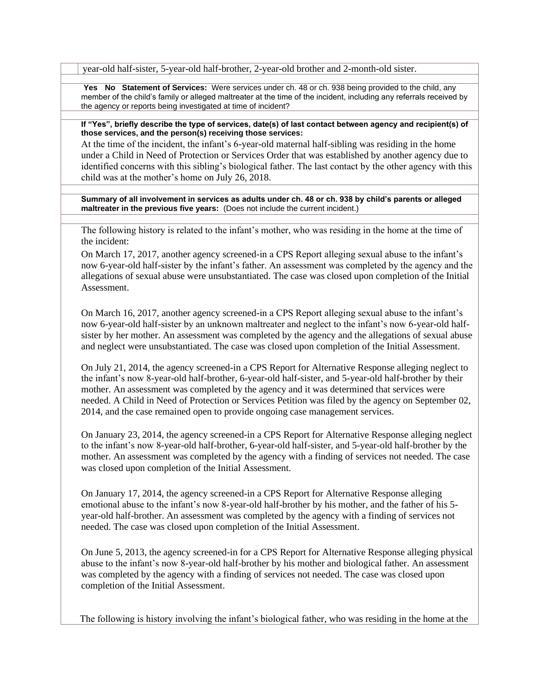year-old half-sister, 5-year-old half-brother, 2-year-old brother and 2-month-old sister.

**Yes No Statement of Services:** Were services under ch. 48 or ch. 938 being provided to the child, any member of the child's family or alleged maltreater at the time of the incident, including any referrals received by the agency or reports being investigated at time of incident?

**If "Yes", briefly describe the type of services, date(s) of last contact between agency and recipient(s) of those services, and the person(s) receiving those services:**

At the time of the incident, the infant's 6-year-old maternal half-sibling was residing in the home under a Child in Need of Protection or Services Order that was established by another agency due to identified concerns with this sibling's biological father. The last contact by the other agency with this child was at the mother's home on July 26, 2018.

**Summary of all involvement in services as adults under ch. 48 or ch. 938 by child's parents or alleged maltreater in the previous five years:** (Does not include the current incident.)

The following history is related to the infant's mother, who was residing in the home at the time of the incident:

On March 17, 2017, another agency screened-in a CPS Report alleging sexual abuse to the infant's now 6-year-old half-sister by the infant's father. An assessment was completed by the agency and the allegations of sexual abuse were unsubstantiated. The case was closed upon completion of the Initial **Assessment** 

On March 16, 2017, another agency screened-in a CPS Report alleging sexual abuse to the infant's now 6-year-old half-sister by an unknown maltreater and neglect to the infant's now 6-year-old halfsister by her mother. An assessment was completed by the agency and the allegations of sexual abuse and neglect were unsubstantiated. The case was closed upon completion of the Initial Assessment.

On July 21, 2014, the agency screened-in a CPS Report for Alternative Response alleging neglect to the infant's now 8-year-old half-brother, 6-year-old half-sister, and 5-year-old half-brother by their mother. An assessment was completed by the agency and it was determined that services were needed. A Child in Need of Protection or Services Petition was filed by the agency on September 02, 2014, and the case remained open to provide ongoing case management services.

On January 23, 2014, the agency screened-in a CPS Report for Alternative Response alleging neglect to the infant's now 8-year-old half-brother, 6-year-old half-sister, and 5-year-old half-brother by the mother. An assessment was completed by the agency with a finding of services not needed. The case was closed upon completion of the Initial Assessment.

On January 17, 2014, the agency screened-in a CPS Report for Alternative Response alleging emotional abuse to the infant's now 8-year-old half-brother by his mother, and the father of his 5 year-old half-brother. An assessment was completed by the agency with a finding of services not needed. The case was closed upon completion of the Initial Assessment.

On June 5, 2013, the agency screened-in for a CPS Report for Alternative Response alleging physical abuse to the infant's now 8-year-old half-brother by his mother and biological father. An assessment was completed by the agency with a finding of services not needed. The case was closed upon completion of the Initial Assessment.

The following is history involving the infant's biological father, who was residing in the home at the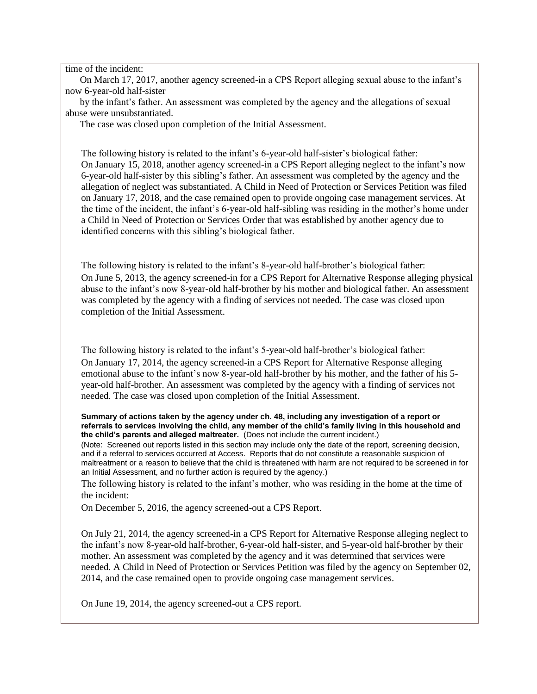### time of the incident:

 On March 17, 2017, another agency screened-in a CPS Report alleging sexual abuse to the infant's now 6-year-old half-sister

 by the infant's father. An assessment was completed by the agency and the allegations of sexual abuse were unsubstantiated.

The case was closed upon completion of the Initial Assessment.

The following history is related to the infant's 6-year-old half-sister's biological father: On January 15, 2018, another agency screened-in a CPS Report alleging neglect to the infant's now 6-year-old half-sister by this sibling's father. An assessment was completed by the agency and the allegation of neglect was substantiated. A Child in Need of Protection or Services Petition was filed on January 17, 2018, and the case remained open to provide ongoing case management services. At the time of the incident, the infant's 6-year-old half-sibling was residing in the mother's home under a Child in Need of Protection or Services Order that was established by another agency due to identified concerns with this sibling's biological father.

The following history is related to the infant's 8-year-old half-brother's biological father: On June 5, 2013, the agency screened-in for a CPS Report for Alternative Response alleging physical abuse to the infant's now 8-year-old half-brother by his mother and biological father. An assessment was completed by the agency with a finding of services not needed. The case was closed upon completion of the Initial Assessment.

The following history is related to the infant's 5-year-old half-brother's biological father:

On January 17, 2014, the agency screened-in a CPS Report for Alternative Response alleging emotional abuse to the infant's now 8-year-old half-brother by his mother, and the father of his 5 year-old half-brother. An assessment was completed by the agency with a finding of services not needed. The case was closed upon completion of the Initial Assessment.

#### **Summary of actions taken by the agency under ch. 48, including any investigation of a report or referrals to services involving the child, any member of the child's family living in this household and the child's parents and alleged maltreater.** (Does not include the current incident.)

(Note: Screened out reports listed in this section may include only the date of the report, screening decision, and if a referral to services occurred at Access. Reports that do not constitute a reasonable suspicion of maltreatment or a reason to believe that the child is threatened with harm are not required to be screened in for an Initial Assessment, and no further action is required by the agency.)

The following history is related to the infant's mother, who was residing in the home at the time of the incident:

On December 5, 2016, the agency screened-out a CPS Report.

On July 21, 2014, the agency screened-in a CPS Report for Alternative Response alleging neglect to the infant's now 8-year-old half-brother, 6-year-old half-sister, and 5-year-old half-brother by their mother. An assessment was completed by the agency and it was determined that services were needed. A Child in Need of Protection or Services Petition was filed by the agency on September 02, 2014, and the case remained open to provide ongoing case management services.

On June 19, 2014, the agency screened-out a CPS report.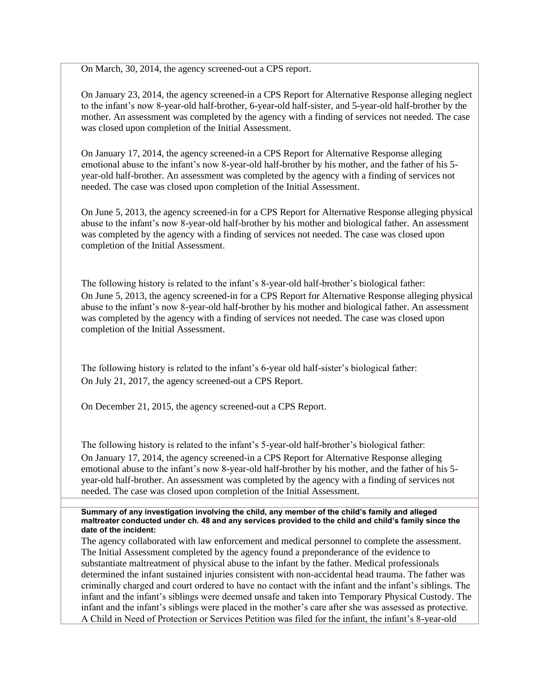On March, 30, 2014, the agency screened-out a CPS report.

On January 23, 2014, the agency screened-in a CPS Report for Alternative Response alleging neglect to the infant's now 8-year-old half-brother, 6-year-old half-sister, and 5-year-old half-brother by the mother. An assessment was completed by the agency with a finding of services not needed. The case was closed upon completion of the Initial Assessment.

On January 17, 2014, the agency screened-in a CPS Report for Alternative Response alleging emotional abuse to the infant's now 8-year-old half-brother by his mother, and the father of his 5 year-old half-brother. An assessment was completed by the agency with a finding of services not needed. The case was closed upon completion of the Initial Assessment.

On June 5, 2013, the agency screened-in for a CPS Report for Alternative Response alleging physical abuse to the infant's now 8-year-old half-brother by his mother and biological father. An assessment was completed by the agency with a finding of services not needed. The case was closed upon completion of the Initial Assessment.

The following history is related to the infant's 8-year-old half-brother's biological father: On June 5, 2013, the agency screened-in for a CPS Report for Alternative Response alleging physical abuse to the infant's now 8-year-old half-brother by his mother and biological father. An assessment was completed by the agency with a finding of services not needed. The case was closed upon completion of the Initial Assessment.

The following history is related to the infant's 6-year old half-sister's biological father: On July 21, 2017, the agency screened-out a CPS Report.

On December 21, 2015, the agency screened-out a CPS Report.

The following history is related to the infant's 5-year-old half-brother's biological father: On January 17, 2014, the agency screened-in a CPS Report for Alternative Response alleging emotional abuse to the infant's now 8-year-old half-brother by his mother, and the father of his 5 year-old half-brother. An assessment was completed by the agency with a finding of services not needed. The case was closed upon completion of the Initial Assessment.

#### **Summary of any investigation involving the child, any member of the child's family and alleged maltreater conducted under ch. 48 and any services provided to the child and child's family since the date of the incident:**

The agency collaborated with law enforcement and medical personnel to complete the assessment. The Initial Assessment completed by the agency found a preponderance of the evidence to substantiate maltreatment of physical abuse to the infant by the father. Medical professionals determined the infant sustained injuries consistent with non-accidental head trauma. The father was criminally charged and court ordered to have no contact with the infant and the infant's siblings. The infant and the infant's siblings were deemed unsafe and taken into Temporary Physical Custody. The infant and the infant's siblings were placed in the mother's care after she was assessed as protective. A Child in Need of Protection or Services Petition was filed for the infant, the infant's 8-year-old